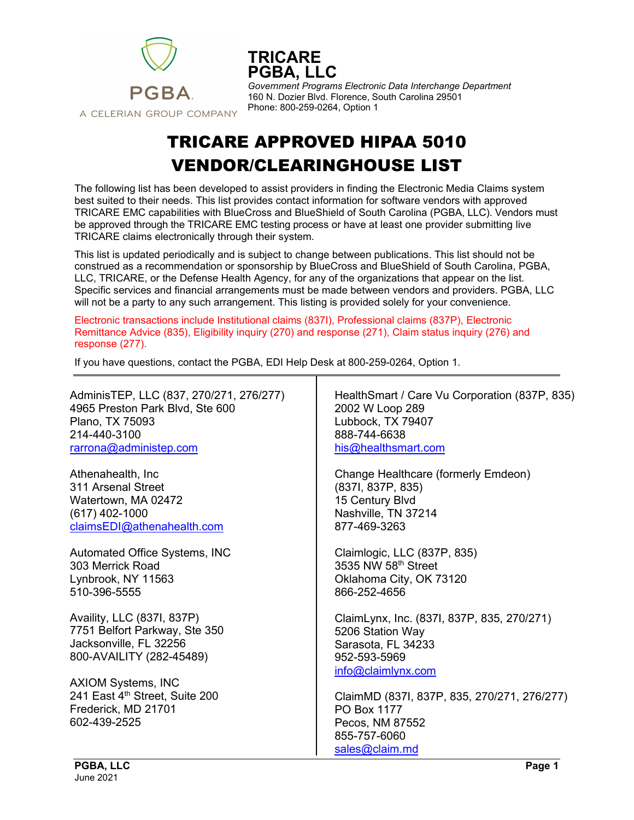

**TRICARE PGBA, LLC**

*Government Programs Electronic Data Interchange Department* 160 N. Dozier Blvd. Florence, South Carolina 29501 Phone: 800-259-0264, Option 1

## TRICARE APPROVED HIPAA 5010 VENDOR/CLEARINGHOUSE LIST

The following list has been developed to assist providers in finding the Electronic Media Claims system best suited to their needs. This list provides contact information for software vendors with approved TRICARE EMC capabilities with BlueCross and BlueShield of South Carolina (PGBA, LLC). Vendors must be approved through the TRICARE EMC testing process or have at least one provider submitting live TRICARE claims electronically through their system.

This list is updated periodically and is subject to change between publications. This list should not be construed as a recommendation or sponsorship by BlueCross and BlueShield of South Carolina, PGBA, LLC, TRICARE, or the Defense Health Agency, for any of the organizations that appear on the list. Specific services and financial arrangements must be made between vendors and providers. PGBA, LLC will not be a party to any such arrangement. This listing is provided solely for your convenience.

Electronic transactions include Institutional claims (837I), Professional claims (837P), Electronic Remittance Advice (835), Eligibility inquiry (270) and response (271), Claim status inquiry (276) and response (277).

If you have questions, contact the PGBA, EDI Help Desk at 800-259-0264, Option 1.

AdminisTEP, LLC (837, 270/271, 276/277) 4965 Preston Park Blvd, Ste 600 Plano, TX 75093 214-440-3100 [rarrona@administep.com](mailto:rarrona@administep.com) Athenahealth, Inc 311 Arsenal Street Watertown, MA 02472 (617) 402-1000 [claimsEDI@athenahealth.com](mailto:claimsEDI@athenahealth.com) Automated Office Systems, INC 303 Merrick Road Lynbrook, NY 11563 510-396-5555 Availity, LLC (837I, 837P) 7751 Belfort Parkway, Ste 350 Jacksonville, FL 32256 800-AVAILITY (282-45489) AXIOM Systems, INC 241 East 4th Street, Suite 200 Frederick, MD 21701 602-439-2525 HealthSmart / Care Vu Corporation (837P, 835) 2002 W Loop 289 Lubbock, TX 79407 888-744-6638 [his@healthsmart.com](mailto:his@healthsmart.com) Change Healthcare (formerly Emdeon) (837I, 837P, 835) 15 Century Blvd Nashville, TN 37214 877-469-3263 Claimlogic, LLC (837P, 835) 3535 NW 58th Street Oklahoma City, OK 73120 866-252-4656 ClaimLynx, Inc. (837I, 837P, 835, 270/271) 5206 Station Way Sarasota, FL 34233 952-593-5969 [info@claimlynx.com](mailto:info@claimlynx.com) ClaimMD (837I, 837P, 835, 270/271, 276/277) PO Box 1177 Pecos, NM 87552 855-757-6060 [sales@claim.md](mailto:sales@claim.md)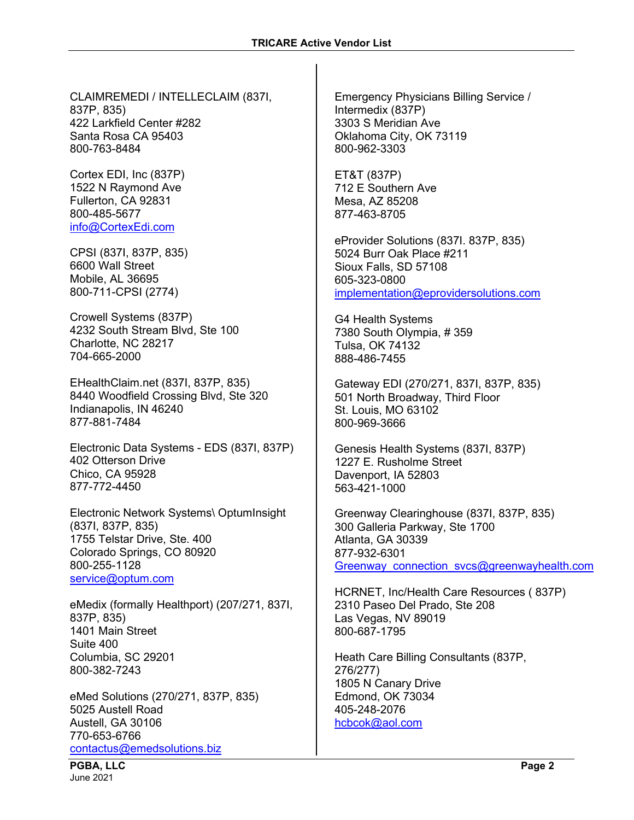CLAIMREMEDI / INTELLECLAIM (837I, 837P, 835) 422 Larkfield Center #282 Santa Rosa CA 95403 800-763-8484

Cortex EDI, Inc (837P) 1522 N Raymond Ave Fullerton, CA 92831 800-485-5677 [info@CortexEdi.com](mailto:info@CortexEdi.com)

CPSI (837I, 837P, 835) 6600 Wall Street Mobile, AL 36695 800-711-CPSI (2774)

Crowell Systems (837P) 4232 South Stream Blvd, Ste 100 Charlotte, NC 28217 704-665-2000

EHealthClaim.net (837I, 837P, 835) 8440 Woodfield Crossing Blvd, Ste 320 Indianapolis, IN 46240 877-881-7484

Electronic Data Systems - EDS (837I, 837P) 402 Otterson Drive Chico, CA 95928 877-772-4450

Electronic Network Systems\ OptumInsight (837I, 837P, 835) 1755 Telstar Drive, Ste. 400 Colorado Springs, CO 80920 800-255-1128 [service@optum.com](mailto:service@optum.com)

eMedix (formally Healthport) (207/271, 837I, 837P, 835) 1401 Main Street Suite 400 Columbia, SC 29201 800-382-7243

eMed Solutions (270/271, 837P, 835) 5025 Austell Road Austell, GA 30106 770-653-6766 [contactus@emedsolutions.biz](mailto:contactus@emedsolutions.biz)

Emergency Physicians Billing Service / Intermedix (837P) 3303 S Meridian Ave Oklahoma City, OK 73119 800-962-3303

ET&T (837P) 712 E Southern Ave Mesa, AZ 85208 877-463-8705

eProvider Solutions (837I. 837P, 835) 5024 Burr Oak Place #211 Sioux Falls, SD 57108 605-323-0800 [implementation@eprovidersolutions.com](mailto:implementation@eprovidersolutions.com)

G4 Health Systems 7380 South Olympia, # 359 Tulsa, OK 74132 888-486-7455

Gateway EDI (270/271, 837I, 837P, 835) 501 North Broadway, Third Floor St. Louis, MO 63102 800-969-3666

Genesis Health Systems (837I, 837P) 1227 E. Rusholme Street Davenport, IA 52803 563-421-1000

Greenway Clearinghouse (837I, 837P, 835) 300 Galleria Parkway, Ste 1700 Atlanta, GA 30339 877-932-6301 Greenway connection svcs@greenwayhealth.com

HCRNET, Inc/Health Care Resources ( 837P) 2310 Paseo Del Prado, Ste 208 Las Vegas, NV 89019 800-687-1795

Heath Care Billing Consultants (837P, 276/277) 1805 N Canary Drive Edmond, OK 73034 405-248-2076 [hcbcok@aol.com](mailto:hcbcok@aol.com)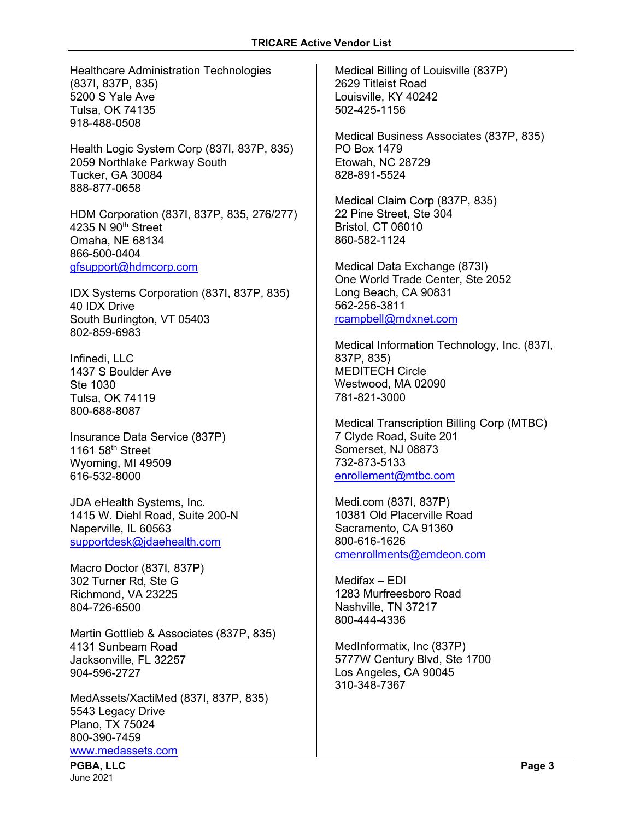Healthcare Administration Technologies (837I, 837P, 835) 5200 S Yale Ave Tulsa, OK 74135 918-488-0508

Health Logic System Corp (837I, 837P, 835) 2059 Northlake Parkway South Tucker, GA 30084 888-877-0658

HDM Corporation (837I, 837P, 835, 276/277) 4235 N 90<sup>th</sup> Street Omaha, NE 68134 866-500-0404 [gfsupport@hdmcorp.com](mailto:gfsupport@hdmcorp.com)

IDX Systems Corporation (837I, 837P, 835) 40 IDX Drive South Burlington, VT 05403 802-859-6983

Infinedi, LLC 1437 S Boulder Ave Ste 1030 Tulsa, OK 74119 800-688-8087

Insurance Data Service (837P) 1161 58th Street Wyoming, MI 49509 616-532-8000

JDA eHealth Systems, Inc. 1415 W. Diehl Road, Suite 200-N Naperville, IL 60563 [supportdesk@jdaehealth.com](mailto:supportdesk@jdaehealth.com)

Macro Doctor (837I, 837P) 302 Turner Rd, Ste G Richmond, VA 23225 804-726-6500

Martin Gottlieb & Associates (837P, 835) 4131 Sunbeam Road Jacksonville, FL 32257 904-596-2727

MedAssets/XactiMed (837I, 837P, 835) 5543 Legacy Drive Plano, TX 75024 800-390-7459 [www.medassets.com](http://www.medassets.com/)

Medical Billing of Louisville (837P) 2629 Titleist Road Louisville, KY 40242 502-425-1156

Medical Business Associates (837P, 835) PO Box 1479 Etowah, NC 28729 828-891-5524

Medical Claim Corp (837P, 835) 22 Pine Street, Ste 304 Bristol, CT 06010 860-582-1124

Medical Data Exchange (873I) One World Trade Center, Ste 2052 Long Beach, CA 90831 562-256-3811 [rcampbell@mdxnet.com](mailto:rcampbell@mdxnet.com)

Medical Information Technology, Inc. (837I, 837P, 835) MEDITECH Circle Westwood, MA 02090 781-821-3000

Medical Transcription Billing Corp (MTBC) 7 Clyde Road, Suite 201 Somerset, NJ 08873 732-873-5133 [enrollement@mtbc.com](mailto:enrollement@mtbc.com)

Medi.com (837I, 837P) 10381 Old Placerville Road Sacramento, CA 91360 800-616-1626 [cmenrollments@emdeon.com](mailto:cmenrollments@emdeon.com)

Medifax – EDI 1283 Murfreesboro Road Nashville, TN 37217 800-444-4336

MedInformatix, Inc (837P) 5777W Century Blvd, Ste 1700 Los Angeles, CA 90045 310-348-7367

**PGBA, LLC Page 3** June 2021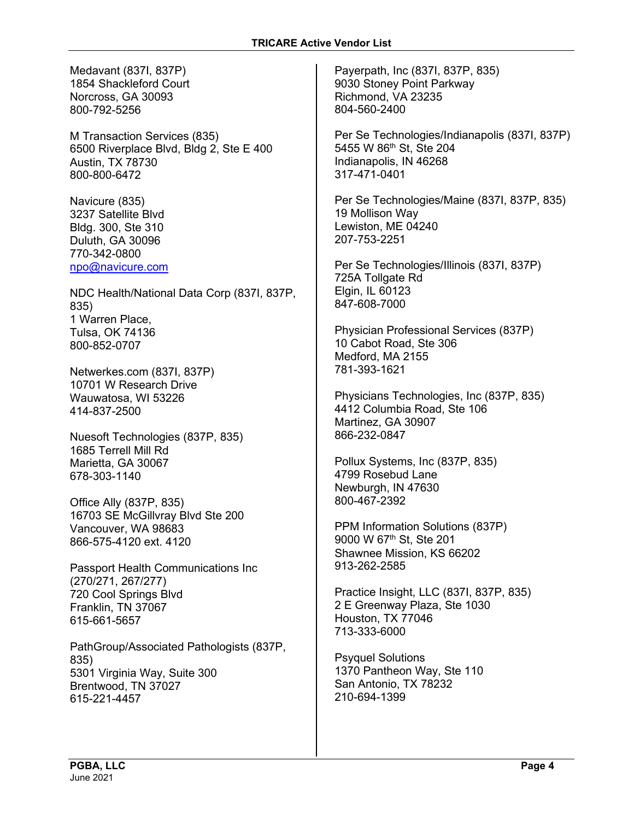Medavant (837I, 837P) 1854 Shackleford Court Norcross, GA 30093 800-792-5256

M Transaction Services (835) 6500 Riverplace Blvd, Bldg 2, Ste E 400 Austin, TX 78730 800-800-6472

Navicure (835) 3237 Satellite Blvd Bldg. 300, Ste 310 Duluth, GA 30096 770-342-0800 [npo@navicure.com](mailto:npo@navicure.com)

NDC Health/National Data Corp (837I, 837P, 835) 1 Warren Place, Tulsa, OK 74136 800-852-0707

Netwerkes.com (837I, 837P) 10701 W Research Drive Wauwatosa, WI 53226 414-837-2500

Nuesoft Technologies (837P, 835) 1685 Terrell Mill Rd Marietta, GA 30067 678-303-1140

Office Ally (837P, 835) 16703 SE McGillvray Blvd Ste 200 Vancouver, WA 98683 866-575-4120 ext. 4120

Passport Health Communications Inc (270/271, 267/277) 720 Cool Springs Blvd Franklin, TN 37067 615-661-5657

PathGroup/Associated Pathologists (837P, 835) 5301 Virginia Way, Suite 300 Brentwood, TN 37027 615-221-4457

Payerpath, Inc (837I, 837P, 835) 9030 Stoney Point Parkway Richmond, VA 23235 804-560-2400

Per Se Technologies/Indianapolis (837I, 837P) 5455 W 86th St, Ste 204 Indianapolis, IN 46268 317-471-0401

Per Se Technologies/Maine (837I, 837P, 835) 19 Mollison Way Lewiston, ME 04240 207-753-2251

Per Se Technologies/Illinois (837I, 837P) 725A Tollgate Rd Elgin, IL 60123 847-608-7000

Physician Professional Services (837P) 10 Cabot Road, Ste 306 Medford, MA 2155 781-393-1621

Physicians Technologies, Inc (837P, 835) 4412 Columbia Road, Ste 106 Martinez, GA 30907 866-232-0847

Pollux Systems, Inc (837P, 835) 4799 Rosebud Lane Newburgh, IN 47630 800-467-2392

PPM Information Solutions (837P) 9000 W 67<sup>th</sup> St, Ste 201 Shawnee Mission, KS 66202 913-262-2585

Practice Insight, LLC (837I, 837P, 835) 2 E Greenway Plaza, Ste 1030 Houston, TX 77046 713-333-6000

Psyquel Solutions 1370 Pantheon Way, Ste 110 San Antonio, TX 78232 210-694-1399